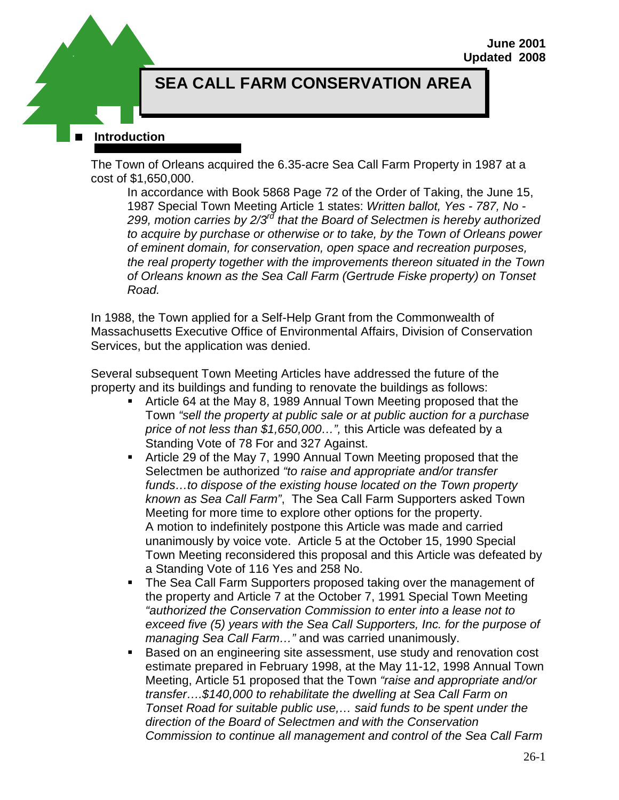# **SEA CALL FARM CONSERVATION AREA**

#### **Introduction**

The Town of Orleans acquired the 6.35-acre Sea Call Farm Property in 1987 at a cost of \$1,650,000.

In accordance with Book 5868 Page 72 of the Order of Taking, the June 15, 1987 Special Town Meeting Article 1 states: *Written ballot, Yes - 787, No - 299, motion carries by 2/3rd that the Board of Selectmen is hereby authorized to acquire by purchase or otherwise or to take, by the Town of Orleans power of eminent domain, for conservation, open space and recreation purposes, the real property together with the improvements thereon situated in the Town of Orleans known as the Sea Call Farm (Gertrude Fiske property) on Tonset Road.*

In 1988, the Town applied for a Self-Help Grant from the Commonwealth of Massachusetts Executive Office of Environmental Affairs, Division of Conservation Services, but the application was denied.

Several subsequent Town Meeting Articles have addressed the future of the property and its buildings and funding to renovate the buildings as follows:

- Article 64 at the May 8, 1989 Annual Town Meeting proposed that the Town *"sell the property at public sale or at public auction for a purchase price of not less than \$1,650,000…",* this Article was defeated by a Standing Vote of 78 For and 327 Against.
- Article 29 of the May 7, 1990 Annual Town Meeting proposed that the Selectmen be authorized *"to raise and appropriate and/or transfer funds…to dispose of the existing house located on the Town property known as Sea Call Farm"*, The Sea Call Farm Supporters asked Town Meeting for more time to explore other options for the property. A motion to indefinitely postpone this Article was made and carried unanimously by voice vote. Article 5 at the October 15, 1990 Special Town Meeting reconsidered this proposal and this Article was defeated by a Standing Vote of 116 Yes and 258 No.
- The Sea Call Farm Supporters proposed taking over the management of the property and Article 7 at the October 7, 1991 Special Town Meeting *"authorized the Conservation Commission to enter into a lease not to exceed five (5) years with the Sea Call Supporters, Inc. for the purpose of managing Sea Call Farm…"* and was carried unanimously.
- Based on an engineering site assessment, use study and renovation cost estimate prepared in February 1998, at the May 11-12, 1998 Annual Town Meeting, Article 51 proposed that the Town *"raise and appropriate and/or transfer….\$140,000 to rehabilitate the dwelling at Sea Call Farm on Tonset Road for suitable public use,… said funds to be spent under the direction of the Board of Selectmen and with the Conservation Commission to continue all management and control of the Sea Call Farm*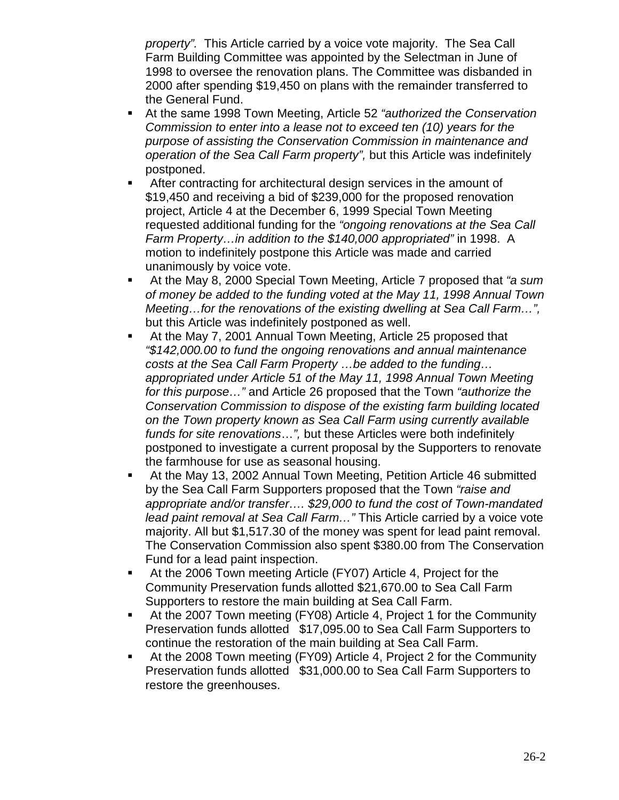*property".* This Article carried by a voice vote majority. The Sea Call Farm Building Committee was appointed by the Selectman in June of 1998 to oversee the renovation plans. The Committee was disbanded in 2000 after spending \$19,450 on plans with the remainder transferred to the General Fund.

- At the same 1998 Town Meeting, Article 52 *"authorized the Conservation Commission to enter into a lease not to exceed ten (10) years for the purpose of assisting the Conservation Commission in maintenance and operation of the Sea Call Farm property",* but this Article was indefinitely postponed.
- After contracting for architectural design services in the amount of \$19,450 and receiving a bid of \$239,000 for the proposed renovation project, Article 4 at the December 6, 1999 Special Town Meeting requested additional funding for the *"ongoing renovations at the Sea Call Farm Property…in addition to the \$140,000 appropriated"* in 1998. A motion to indefinitely postpone this Article was made and carried unanimously by voice vote.
- At the May 8, 2000 Special Town Meeting, Article 7 proposed that *"a sum of money be added to the funding voted at the May 11, 1998 Annual Town Meeting…for the renovations of the existing dwelling at Sea Call Farm…",* but this Article was indefinitely postponed as well.
- At the May 7, 2001 Annual Town Meeting, Article 25 proposed that *"\$142,000.00 to fund the ongoing renovations and annual maintenance costs at the Sea Call Farm Property …be added to the funding… appropriated under Article 51 of the May 11, 1998 Annual Town Meeting for this purpose…"* and Article 26 proposed that the Town *"authorize the Conservation Commission to dispose of the existing farm building located on the Town property known as Sea Call Farm using currently available funds for site renovations*…*",* but these Articles were both indefinitely postponed to investigate a current proposal by the Supporters to renovate the farmhouse for use as seasonal housing.
- At the May 13, 2002 Annual Town Meeting, Petition Article 46 submitted by the Sea Call Farm Supporters proposed that the Town *"raise and appropriate and/or transfer…. \$29,000 to fund the cost of Town-mandated lead paint removal at Sea Call Farm…"* This Article carried by a voice vote majority. All but \$1,517.30 of the money was spent for lead paint removal. The Conservation Commission also spent \$380.00 from The Conservation Fund for a lead paint inspection.
- At the 2006 Town meeting Article (FY07) Article 4, Project for the Community Preservation funds allotted \$21,670.00 to Sea Call Farm Supporters to restore the main building at Sea Call Farm.
- At the 2007 Town meeting (FY08) Article 4, Project 1 for the Community Preservation funds allotted \$17,095.00 to Sea Call Farm Supporters to continue the restoration of the main building at Sea Call Farm.
- At the 2008 Town meeting (FY09) Article 4, Project 2 for the Community Preservation funds allotted \$31,000.00 to Sea Call Farm Supporters to restore the greenhouses.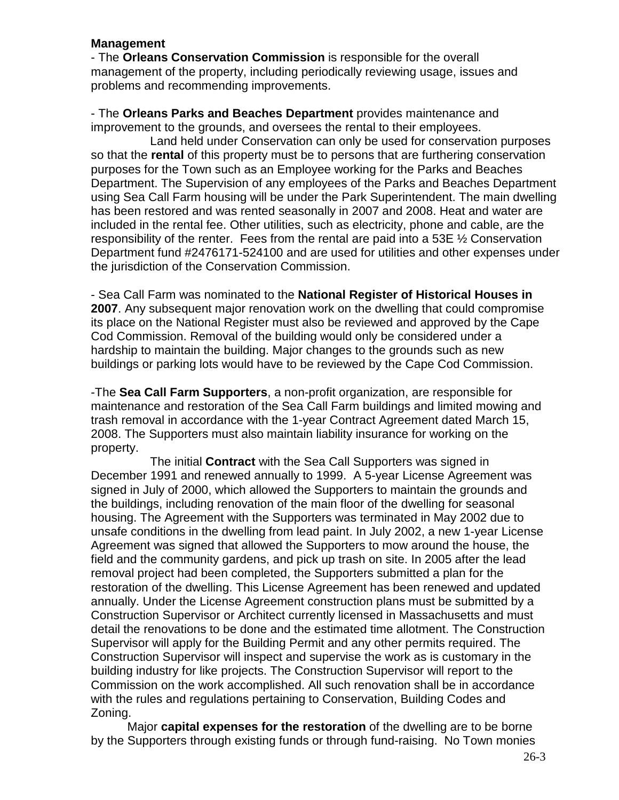### **Management**

- The **Orleans Conservation Commission** is responsible for the overall management of the property, including periodically reviewing usage, issues and problems and recommending improvements.

- The **Orleans Parks and Beaches Department** provides maintenance and improvement to the grounds, and oversees the rental to their employees.

Land held under Conservation can only be used for conservation purposes so that the **rental** of this property must be to persons that are furthering conservation purposes for the Town such as an Employee working for the Parks and Beaches Department. The Supervision of any employees of the Parks and Beaches Department using Sea Call Farm housing will be under the Park Superintendent. The main dwelling has been restored and was rented seasonally in 2007 and 2008. Heat and water are included in the rental fee. Other utilities, such as electricity, phone and cable, are the responsibility of the renter. Fees from the rental are paid into a 53E ½ Conservation Department fund #2476171-524100 and are used for utilities and other expenses under the jurisdiction of the Conservation Commission.

- Sea Call Farm was nominated to the **National Register of Historical Houses in 2007**. Any subsequent major renovation work on the dwelling that could compromise its place on the National Register must also be reviewed and approved by the Cape Cod Commission. Removal of the building would only be considered under a hardship to maintain the building. Major changes to the grounds such as new buildings or parking lots would have to be reviewed by the Cape Cod Commission.

-The **Sea Call Farm Supporters**, a non-profit organization, are responsible for maintenance and restoration of the Sea Call Farm buildings and limited mowing and trash removal in accordance with the 1-year Contract Agreement dated March 15, 2008. The Supporters must also maintain liability insurance for working on the property.

The initial **Contract** with the Sea Call Supporters was signed in December 1991 and renewed annually to 1999. A 5-year License Agreement was signed in July of 2000, which allowed the Supporters to maintain the grounds and the buildings, including renovation of the main floor of the dwelling for seasonal housing. The Agreement with the Supporters was terminated in May 2002 due to unsafe conditions in the dwelling from lead paint. In July 2002, a new 1-year License Agreement was signed that allowed the Supporters to mow around the house, the field and the community gardens, and pick up trash on site. In 2005 after the lead removal project had been completed, the Supporters submitted a plan for the restoration of the dwelling. This License Agreement has been renewed and updated annually. Under the License Agreement construction plans must be submitted by a Construction Supervisor or Architect currently licensed in Massachusetts and must detail the renovations to be done and the estimated time allotment. The Construction Supervisor will apply for the Building Permit and any other permits required. The Construction Supervisor will inspect and supervise the work as is customary in the building industry for like projects. The Construction Supervisor will report to the Commission on the work accomplished. All such renovation shall be in accordance with the rules and regulations pertaining to Conservation, Building Codes and Zoning.

Major **capital expenses for the restoration** of the dwelling are to be borne by the Supporters through existing funds or through fund-raising. No Town monies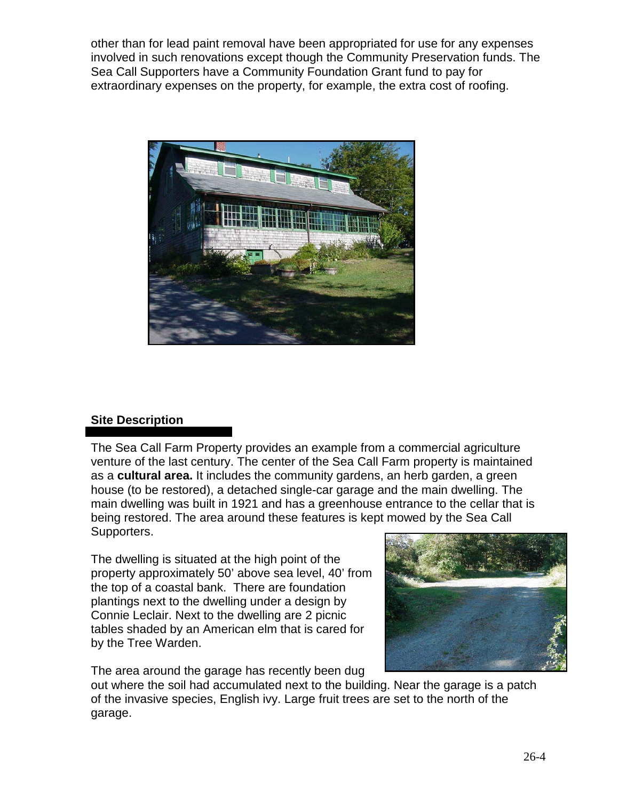other than for lead paint removal have been appropriated for use for any expenses involved in such renovations except though the Community Preservation funds. The Sea Call Supporters have a Community Foundation Grant fund to pay for extraordinary expenses on the property, for example, the extra cost of roofing.



### **Site Description**

The Sea Call Farm Property provides an example from a commercial agriculture venture of the last century. The center of the Sea Call Farm property is maintained as a **cultural area.** It includes the community gardens, an herb garden, a green house (to be restored), a detached single-car garage and the main dwelling. The main dwelling was built in 1921 and has a greenhouse entrance to the cellar that is being restored. The area around these features is kept mowed by the Sea Call Supporters.

The dwelling is situated at the high point of the property approximately 50' above sea level, 40' from the top of a coastal bank. There are foundation plantings next to the dwelling under a design by Connie Leclair. Next to the dwelling are 2 picnic tables shaded by an American elm that is cared for by the Tree Warden.

The area around the garage has recently been dug



out where the soil had accumulated next to the building. Near the garage is a patch of the invasive species, English ivy. Large fruit trees are set to the north of the garage.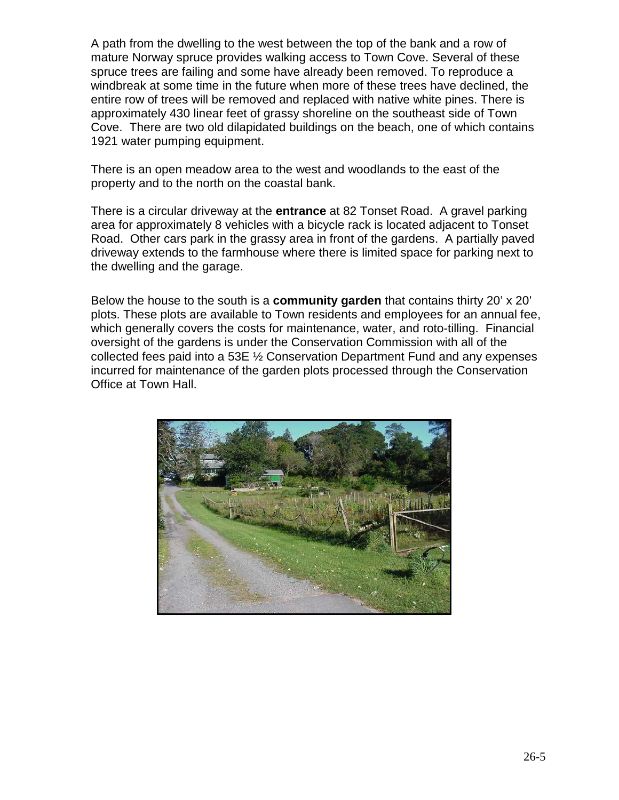A path from the dwelling to the west between the top of the bank and a row of mature Norway spruce provides walking access to Town Cove. Several of these spruce trees are failing and some have already been removed. To reproduce a windbreak at some time in the future when more of these trees have declined, the entire row of trees will be removed and replaced with native white pines. There is approximately 430 linear feet of grassy shoreline on the southeast side of Town Cove. There are two old dilapidated buildings on the beach, one of which contains 1921 water pumping equipment.

There is an open meadow area to the west and woodlands to the east of the property and to the north on the coastal bank.

There is a circular driveway at the **entrance** at 82 Tonset Road. A gravel parking area for approximately 8 vehicles with a bicycle rack is located adjacent to Tonset Road. Other cars park in the grassy area in front of the gardens. A partially paved driveway extends to the farmhouse where there is limited space for parking next to the dwelling and the garage.

Below the house to the south is a **community garden** that contains thirty 20' x 20' plots. These plots are available to Town residents and employees for an annual fee, which generally covers the costs for maintenance, water, and roto-tilling. Financial oversight of the gardens is under the Conservation Commission with all of the collected fees paid into a 53E ½ Conservation Department Fund and any expenses incurred for maintenance of the garden plots processed through the Conservation Office at Town Hall.

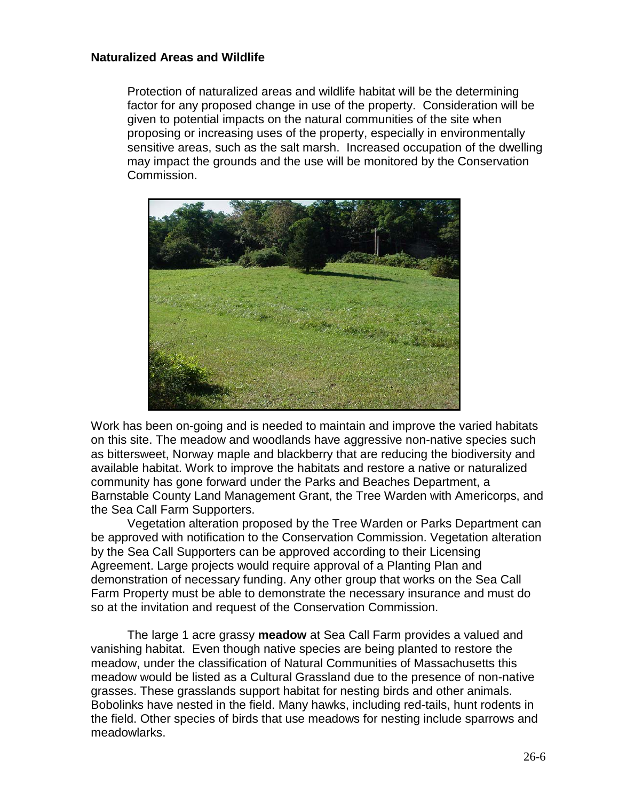#### **Naturalized Areas and Wildlife**

Protection of naturalized areas and wildlife habitat will be the determining factor for any proposed change in use of the property. Consideration will be given to potential impacts on the natural communities of the site when proposing or increasing uses of the property, especially in environmentally sensitive areas, such as the salt marsh. Increased occupation of the dwelling may impact the grounds and the use will be monitored by the Conservation Commission.



Work has been on-going and is needed to maintain and improve the varied habitats on this site. The meadow and woodlands have aggressive non-native species such as bittersweet, Norway maple and blackberry that are reducing the biodiversity and available habitat. Work to improve the habitats and restore a native or naturalized community has gone forward under the Parks and Beaches Department, a Barnstable County Land Management Grant, the Tree Warden with Americorps, and the Sea Call Farm Supporters.

Vegetation alteration proposed by the Tree Warden or Parks Department can be approved with notification to the Conservation Commission. Vegetation alteration by the Sea Call Supporters can be approved according to their Licensing Agreement. Large projects would require approval of a Planting Plan and demonstration of necessary funding. Any other group that works on the Sea Call Farm Property must be able to demonstrate the necessary insurance and must do so at the invitation and request of the Conservation Commission.

The large 1 acre grassy **meadow** at Sea Call Farm provides a valued and vanishing habitat. Even though native species are being planted to restore the meadow, under the classification of Natural Communities of Massachusetts this meadow would be listed as a Cultural Grassland due to the presence of non-native grasses. These grasslands support habitat for nesting birds and other animals. Bobolinks have nested in the field. Many hawks, including red-tails, hunt rodents in the field. Other species of birds that use meadows for nesting include sparrows and meadowlarks.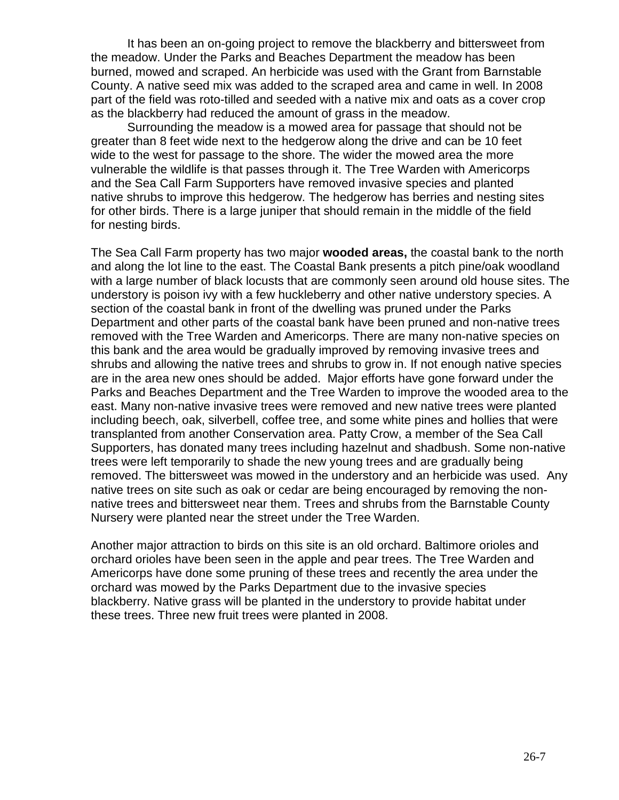It has been an on-going project to remove the blackberry and bittersweet from the meadow. Under the Parks and Beaches Department the meadow has been burned, mowed and scraped. An herbicide was used with the Grant from Barnstable County. A native seed mix was added to the scraped area and came in well. In 2008 part of the field was roto-tilled and seeded with a native mix and oats as a cover crop as the blackberry had reduced the amount of grass in the meadow.

Surrounding the meadow is a mowed area for passage that should not be greater than 8 feet wide next to the hedgerow along the drive and can be 10 feet wide to the west for passage to the shore. The wider the mowed area the more vulnerable the wildlife is that passes through it. The Tree Warden with Americorps and the Sea Call Farm Supporters have removed invasive species and planted native shrubs to improve this hedgerow. The hedgerow has berries and nesting sites for other birds. There is a large juniper that should remain in the middle of the field for nesting birds.

The Sea Call Farm property has two major **wooded areas,** the coastal bank to the north and along the lot line to the east. The Coastal Bank presents a pitch pine/oak woodland with a large number of black locusts that are commonly seen around old house sites. The understory is poison ivy with a few huckleberry and other native understory species. A section of the coastal bank in front of the dwelling was pruned under the Parks Department and other parts of the coastal bank have been pruned and non-native trees removed with the Tree Warden and Americorps. There are many non-native species on this bank and the area would be gradually improved by removing invasive trees and shrubs and allowing the native trees and shrubs to grow in. If not enough native species are in the area new ones should be added. Major efforts have gone forward under the Parks and Beaches Department and the Tree Warden to improve the wooded area to the east. Many non-native invasive trees were removed and new native trees were planted including beech, oak, silverbell, coffee tree, and some white pines and hollies that were transplanted from another Conservation area. Patty Crow, a member of the Sea Call Supporters, has donated many trees including hazelnut and shadbush. Some non-native trees were left temporarily to shade the new young trees and are gradually being removed. The bittersweet was mowed in the understory and an herbicide was used. Any native trees on site such as oak or cedar are being encouraged by removing the nonnative trees and bittersweet near them. Trees and shrubs from the Barnstable County Nursery were planted near the street under the Tree Warden.

Another major attraction to birds on this site is an old orchard. Baltimore orioles and orchard orioles have been seen in the apple and pear trees. The Tree Warden and Americorps have done some pruning of these trees and recently the area under the orchard was mowed by the Parks Department due to the invasive species blackberry. Native grass will be planted in the understory to provide habitat under these trees. Three new fruit trees were planted in 2008.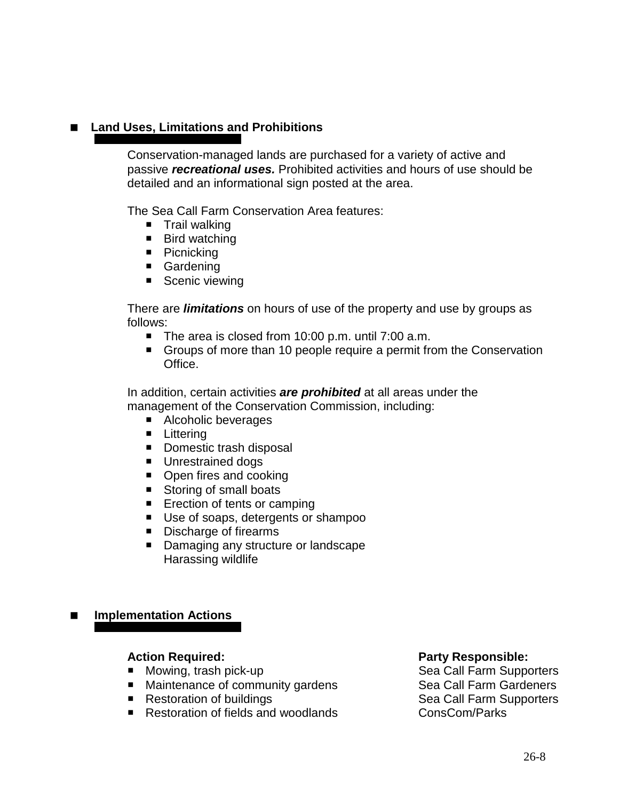# **Land Uses, Limitations and Prohibitions**

Conservation-managed lands are purchased for a variety of active and passive *recreational uses.* Prohibited activities and hours of use should be detailed and an informational sign posted at the area.

The Sea Call Farm Conservation Area features:

- $\blacksquare$  Trail walking
- Bird watching
- Picnicking
- Gardening
- Scenic viewing

There are *limitations* on hours of use of the property and use by groups as follows:

- The area is closed from 10:00 p.m. until 7:00 a.m.
- Groups of more than 10 people require a permit from the Conservation Office.

In addition, certain activities *are prohibited* at all areas under the management of the Conservation Commission, including:

- Alcoholic beverages
- **Littering**
- Domestic trash disposal
- **Unrestrained dogs**
- Open fires and cooking
- Storing of small boats
- **Exection of tents or camping**
- Use of soaps, detergents or shampoo
- Discharge of firearms
- Damaging any structure or landscape Harassing wildlife

# **Implementation Actions**

- $\blacksquare$  Mowing, trash pick-up
- 
- Restoration of buildings
- Restoration of fields and woodlands ConsCom/Parks

**Action Required: Party Responsible:** ■ Maintenance of community gardens Sea Call Farm Gardeners<br>■ Restoration of buildings Sea Call Farm Supporters